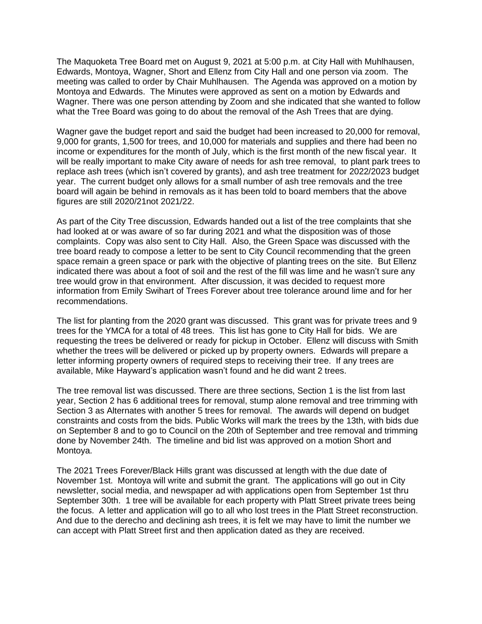The Maquoketa Tree Board met on August 9, 2021 at 5:00 p.m. at City Hall with Muhlhausen, Edwards, Montoya, Wagner, Short and Ellenz from City Hall and one person via zoom. The meeting was called to order by Chair Muhlhausen. The Agenda was approved on a motion by Montoya and Edwards. The Minutes were approved as sent on a motion by Edwards and Wagner. There was one person attending by Zoom and she indicated that she wanted to follow what the Tree Board was going to do about the removal of the Ash Trees that are dying.

Wagner gave the budget report and said the budget had been increased to 20,000 for removal, 9,000 for grants, 1,500 for trees, and 10,000 for materials and supplies and there had been no income or expenditures for the month of July, which is the first month of the new fiscal year. It will be really important to make City aware of needs for ash tree removal, to plant park trees to replace ash trees (which isn't covered by grants), and ash tree treatment for 2022/2023 budget year. The current budget only allows for a small number of ash tree removals and the tree board will again be behind in removals as it has been told to board members that the above figures are still 2020/21not 2021/22.

As part of the City Tree discussion, Edwards handed out a list of the tree complaints that she had looked at or was aware of so far during 2021 and what the disposition was of those complaints. Copy was also sent to City Hall. Also, the Green Space was discussed with the tree board ready to compose a letter to be sent to City Council recommending that the green space remain a green space or park with the objective of planting trees on the site. But Ellenz indicated there was about a foot of soil and the rest of the fill was lime and he wasn't sure any tree would grow in that environment. After discussion, it was decided to request more information from Emily Swihart of Trees Forever about tree tolerance around lime and for her recommendations.

The list for planting from the 2020 grant was discussed. This grant was for private trees and 9 trees for the YMCA for a total of 48 trees. This list has gone to City Hall for bids. We are requesting the trees be delivered or ready for pickup in October. Ellenz will discuss with Smith whether the trees will be delivered or picked up by property owners. Edwards will prepare a letter informing property owners of required steps to receiving their tree. If any trees are available, Mike Hayward's application wasn't found and he did want 2 trees.

The tree removal list was discussed. There are three sections, Section 1 is the list from last year, Section 2 has 6 additional trees for removal, stump alone removal and tree trimming with Section 3 as Alternates with another 5 trees for removal. The awards will depend on budget constraints and costs from the bids. Public Works will mark the trees by the 13th, with bids due on September 8 and to go to Council on the 20th of September and tree removal and trimming done by November 24th. The timeline and bid list was approved on a motion Short and Montoya.

The 2021 Trees Forever/Black Hills grant was discussed at length with the due date of November 1st. Montoya will write and submit the grant. The applications will go out in City newsletter, social media, and newspaper ad with applications open from September 1st thru September 30th. 1 tree will be available for each property with Platt Street private trees being the focus. A letter and application will go to all who lost trees in the Platt Street reconstruction. And due to the derecho and declining ash trees, it is felt we may have to limit the number we can accept with Platt Street first and then application dated as they are received.